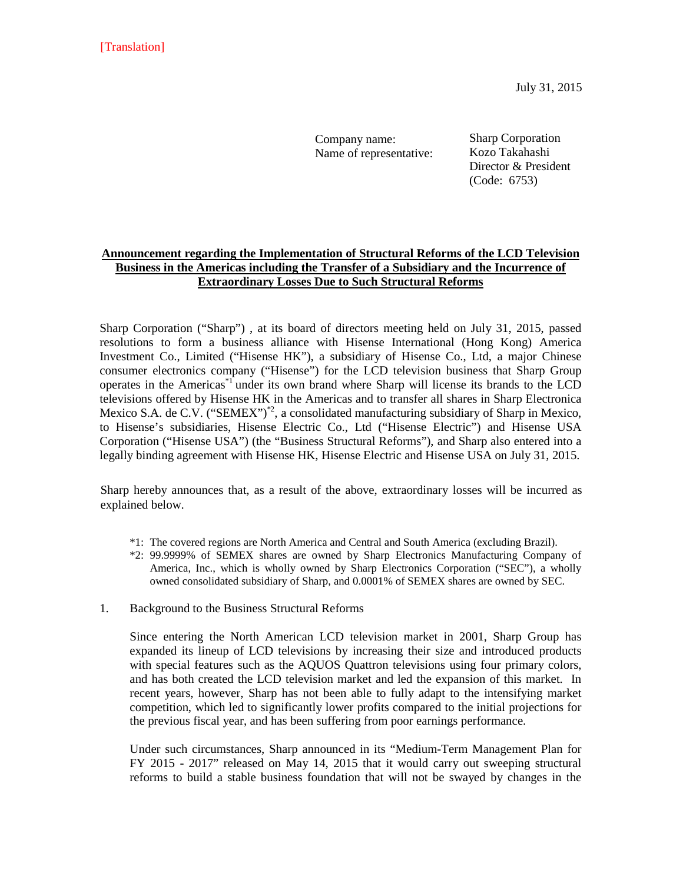July 31, 2015

Company name: Name of representative: Sharp Corporation Kozo Takahashi Director & President (Code: 6753)

## **Announcement regarding the Implementation of Structural Reforms of the LCD Television Business in the Americas including the Transfer of a Subsidiary and the Incurrence of Extraordinary Losses Due to Such Structural Reforms**

Sharp Corporation ("Sharp") , at its board of directors meeting held on July 31, 2015, passed resolutions to form a business alliance with Hisense International (Hong Kong) America Investment Co., Limited ("Hisense HK"), a subsidiary of Hisense Co., Ltd, a major Chinese consumer electronics company ("Hisense") for the LCD television business that Sharp Group operates in the Americas\*1 under its own brand where Sharp will license its brands to the LCD televisions offered by Hisense HK in the Americas and to transfer all shares in Sharp Electronica Mexico S.A. de C.V. ("SEMEX")<sup>\*2</sup>, a consolidated manufacturing subsidiary of Sharp in Mexico, to Hisense's subsidiaries, Hisense Electric Co., Ltd ("Hisense Electric") and Hisense USA Corporation ("Hisense USA") (the "Business Structural Reforms"), and Sharp also entered into a legally binding agreement with Hisense HK, Hisense Electric and Hisense USA on July 31, 2015.

Sharp hereby announces that, as a result of the above, extraordinary losses will be incurred as explained below.

- \*1: The covered regions are North America and Central and South America (excluding Brazil).
- \*2: 99.9999% of SEMEX shares are owned by Sharp Electronics Manufacturing Company of America, Inc., which is wholly owned by Sharp Electronics Corporation ("SEC"), a wholly owned consolidated subsidiary of Sharp, and 0.0001% of SEMEX shares are owned by SEC.
- 1. Background to the Business Structural Reforms

Since entering the North American LCD television market in 2001, Sharp Group has expanded its lineup of LCD televisions by increasing their size and introduced products with special features such as the AQUOS Quattron televisions using four primary colors, and has both created the LCD television market and led the expansion of this market. In recent years, however, Sharp has not been able to fully adapt to the intensifying market competition, which led to significantly lower profits compared to the initial projections for the previous fiscal year, and has been suffering from poor earnings performance.

Under such circumstances, Sharp announced in its "Medium-Term Management Plan for FY 2015 - 2017" released on May 14, 2015 that it would carry out sweeping structural reforms to build a stable business foundation that will not be swayed by changes in the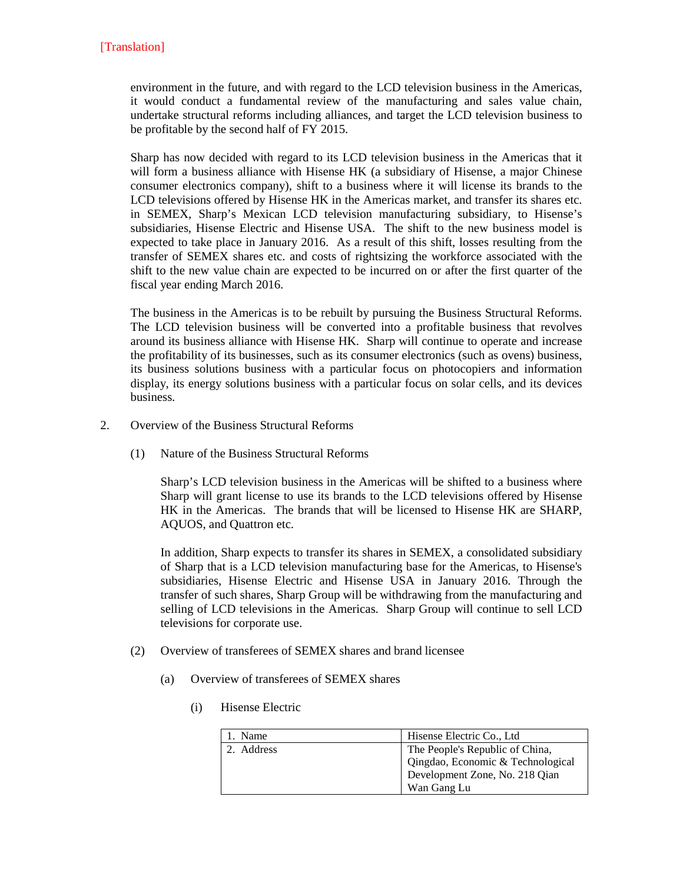environment in the future, and with regard to the LCD television business in the Americas, it would conduct a fundamental review of the manufacturing and sales value chain, undertake structural reforms including alliances, and target the LCD television business to be profitable by the second half of FY 2015.

Sharp has now decided with regard to its LCD television business in the Americas that it will form a business alliance with Hisense HK (a subsidiary of Hisense, a major Chinese consumer electronics company), shift to a business where it will license its brands to the LCD televisions offered by Hisense HK in the Americas market, and transfer its shares etc. in SEMEX, Sharp's Mexican LCD television manufacturing subsidiary, to Hisense's subsidiaries, Hisense Electric and Hisense USA. The shift to the new business model is expected to take place in January 2016. As a result of this shift, losses resulting from the transfer of SEMEX shares etc. and costs of rightsizing the workforce associated with the shift to the new value chain are expected to be incurred on or after the first quarter of the fiscal year ending March 2016.

The business in the Americas is to be rebuilt by pursuing the Business Structural Reforms. The LCD television business will be converted into a profitable business that revolves around its business alliance with Hisense HK. Sharp will continue to operate and increase the profitability of its businesses, such as its consumer electronics (such as ovens) business, its business solutions business with a particular focus on photocopiers and information display, its energy solutions business with a particular focus on solar cells, and its devices business.

- 2. Overview of the Business Structural Reforms
	- (1) Nature of the Business Structural Reforms

Sharp's LCD television business in the Americas will be shifted to a business where Sharp will grant license to use its brands to the LCD televisions offered by Hisense HK in the Americas. The brands that will be licensed to Hisense HK are SHARP, AQUOS, and Quattron etc.

In addition, Sharp expects to transfer its shares in SEMEX, a consolidated subsidiary of Sharp that is a LCD television manufacturing base for the Americas, to Hisense's subsidiaries, Hisense Electric and Hisense USA in January 2016. Through the transfer of such shares, Sharp Group will be withdrawing from the manufacturing and selling of LCD televisions in the Americas. Sharp Group will continue to sell LCD televisions for corporate use.

- (2) Overview of transferees of SEMEX shares and brand licensee
	- (a) Overview of transferees of SEMEX shares
		- (i) Hisense Electric

| 1. Name    | Hisense Electric Co., Ltd         |
|------------|-----------------------------------|
| 2. Address | The People's Republic of China,   |
|            | Qingdao, Economic & Technological |
|            | Development Zone, No. 218 Qian    |
|            | Wan Gang Lu                       |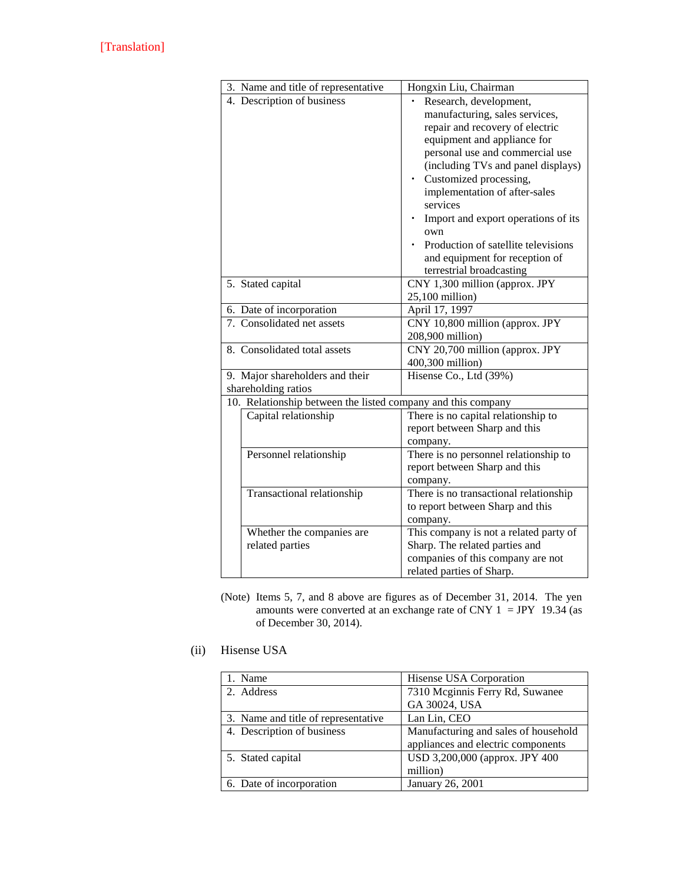# [Translation]

| 3. Name and title of representative                          | Hongxin Liu, Chairman                                                                                                                                                                                                                                                                                                                                                                                                         |
|--------------------------------------------------------------|-------------------------------------------------------------------------------------------------------------------------------------------------------------------------------------------------------------------------------------------------------------------------------------------------------------------------------------------------------------------------------------------------------------------------------|
| 4. Description of business                                   | Research, development,<br>manufacturing, sales services,<br>repair and recovery of electric<br>equipment and appliance for<br>personal use and commercial use<br>(including TVs and panel displays)<br>Customized processing,<br>implementation of after-sales<br>services<br>Import and export operations of its<br>own<br>Production of satellite televisions<br>and equipment for reception of<br>terrestrial broadcasting |
| 5. Stated capital                                            | CNY 1,300 million (approx. JPY<br>25,100 million)                                                                                                                                                                                                                                                                                                                                                                             |
| 6. Date of incorporation                                     | April 17, 1997                                                                                                                                                                                                                                                                                                                                                                                                                |
| 7. Consolidated net assets                                   | CNY 10,800 million (approx. JPY<br>208,900 million)                                                                                                                                                                                                                                                                                                                                                                           |
| 8. Consolidated total assets                                 | CNY 20,700 million (approx. JPY<br>400,300 million)                                                                                                                                                                                                                                                                                                                                                                           |
| 9. Major shareholders and their<br>shareholding ratios       | Hisense Co., Ltd (39%)                                                                                                                                                                                                                                                                                                                                                                                                        |
| 10. Relationship between the listed company and this company |                                                                                                                                                                                                                                                                                                                                                                                                                               |
| Capital relationship                                         | There is no capital relationship to<br>report between Sharp and this<br>company.                                                                                                                                                                                                                                                                                                                                              |
| Personnel relationship                                       | There is no personnel relationship to<br>report between Sharp and this<br>company.                                                                                                                                                                                                                                                                                                                                            |
| Transactional relationship                                   | There is no transactional relationship<br>to report between Sharp and this<br>company.                                                                                                                                                                                                                                                                                                                                        |
| Whether the companies are<br>related parties                 | This company is not a related party of<br>Sharp. The related parties and<br>companies of this company are not<br>related parties of Sharp.                                                                                                                                                                                                                                                                                    |

- (Note) Items 5, 7, and 8 above are figures as of December 31, 2014. The yen amounts were converted at an exchange rate of CNY  $1 = JPY$  19.34 (as of December 30, 2014).
- (ii) Hisense USA

| 1. Name                             | Hisense USA Corporation              |
|-------------------------------------|--------------------------------------|
| 2. Address                          | 7310 Mcginnis Ferry Rd, Suwanee      |
|                                     | GA 30024, USA                        |
| 3. Name and title of representative | Lan Lin, CEO                         |
| 4. Description of business          | Manufacturing and sales of household |
|                                     | appliances and electric components   |
| 5. Stated capital                   | USD 3,200,000 (approx. JPY 400       |
|                                     | million)                             |
| 6. Date of incorporation            | January 26, 2001                     |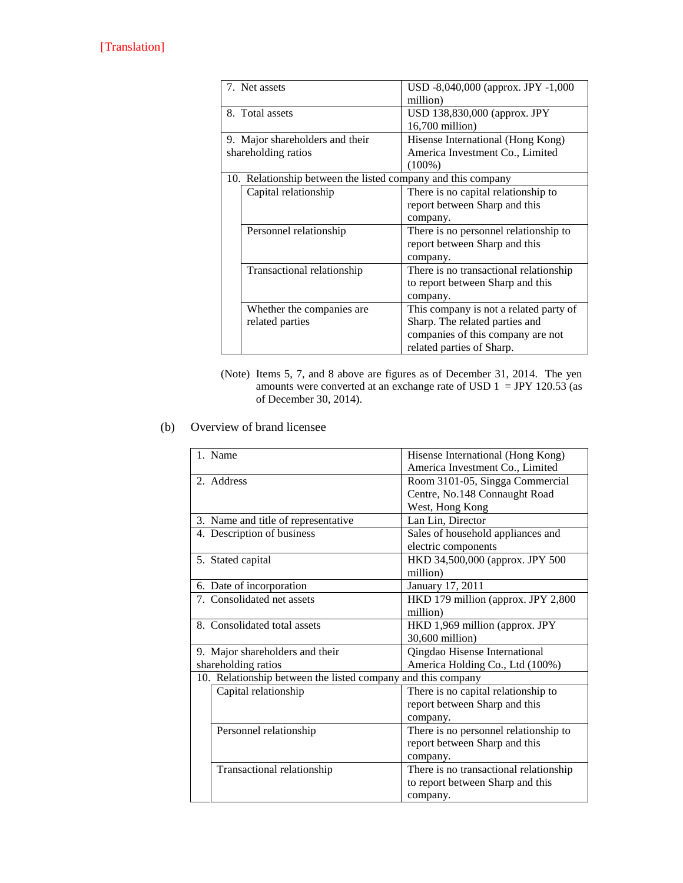|  | 7. Net assets                                                | USD -8,040,000 (approx. JPY -1,000)    |
|--|--------------------------------------------------------------|----------------------------------------|
|  |                                                              | million)                               |
|  | 8. Total assets                                              | USD 138,830,000 (approx. JPY           |
|  |                                                              | $16,700$ million)                      |
|  | 9. Major shareholders and their                              | Hisense International (Hong Kong)      |
|  | shareholding ratios                                          | America Investment Co., Limited        |
|  |                                                              | $(100\%)$                              |
|  | 10. Relationship between the listed company and this company |                                        |
|  | Capital relationship                                         | There is no capital relationship to    |
|  |                                                              | report between Sharp and this          |
|  |                                                              | company.                               |
|  | Personnel relationship                                       | There is no personnel relationship to  |
|  |                                                              | report between Sharp and this          |
|  |                                                              | company.                               |
|  | Transactional relationship                                   | There is no transactional relationship |
|  |                                                              | to report between Sharp and this       |
|  |                                                              | company.                               |
|  | Whether the companies are                                    | This company is not a related party of |
|  | related parties                                              | Sharp. The related parties and         |
|  |                                                              | companies of this company are not      |
|  |                                                              | related parties of Sharp.              |

(Note) Items 5, 7, and 8 above are figures as of December 31, 2014. The yen amounts were converted at an exchange rate of USD  $1 = JPY 120.53$  (as of December 30, 2014).

## (b) Overview of brand licensee

| 1. Name                                                      | Hisense International (Hong Kong)      |
|--------------------------------------------------------------|----------------------------------------|
|                                                              | America Investment Co., Limited        |
| 2. Address                                                   | Room 3101-05, Singga Commercial        |
|                                                              | Centre, No.148 Connaught Road          |
|                                                              | West, Hong Kong                        |
| 3. Name and title of representative                          | Lan Lin, Director                      |
| 4. Description of business                                   | Sales of household appliances and      |
|                                                              | electric components                    |
| 5. Stated capital                                            | HKD 34,500,000 (approx. JPY 500        |
|                                                              | million)                               |
| 6. Date of incorporation                                     | January 17, 2011                       |
| 7. Consolidated net assets                                   | HKD 179 million (approx. JPY 2,800     |
|                                                              | million)                               |
| 8. Consolidated total assets                                 | HKD 1,969 million (approx. JPY         |
|                                                              | 30,600 million)                        |
| 9. Major shareholders and their                              | Qingdao Hisense International          |
| shareholding ratios                                          | America Holding Co., Ltd (100%)        |
| 10. Relationship between the listed company and this company |                                        |
| Capital relationship                                         | There is no capital relationship to    |
|                                                              | report between Sharp and this          |
|                                                              | company.                               |
| Personnel relationship                                       | There is no personnel relationship to  |
|                                                              | report between Sharp and this          |
|                                                              | company.                               |
| Transactional relationship                                   | There is no transactional relationship |
|                                                              | to report between Sharp and this       |
|                                                              | company.                               |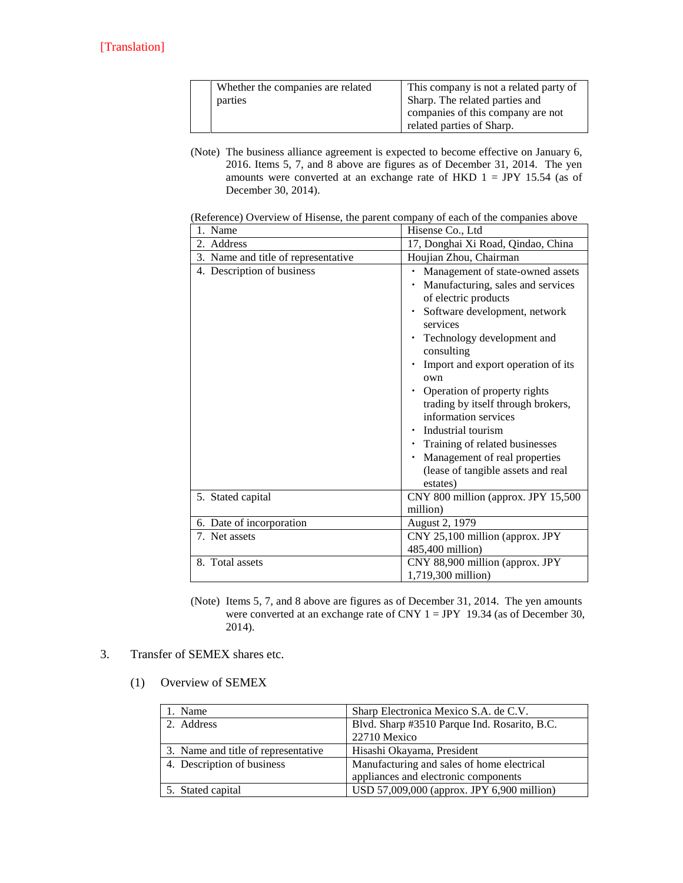| Whether the companies are related<br>parties | This company is not a related party of<br>Sharp. The related parties and<br>companies of this company are not<br>related parties of Sharp. |
|----------------------------------------------|--------------------------------------------------------------------------------------------------------------------------------------------|
|----------------------------------------------|--------------------------------------------------------------------------------------------------------------------------------------------|

(Note) The business alliance agreement is expected to become effective on January 6, 2016. Items 5, 7, and 8 above are figures as of December 31, 2014. The yen amounts were converted at an exchange rate of HKD 1 = JPY 15.54 (as of December 30, 2014).

(Reference) Overview of Hisense, the parent company of each of the companies above

| 1. Name                             | Hisense Co., Ltd                                                                                                                                                                                                                                                                                                                                                                                                                                                             |  |
|-------------------------------------|------------------------------------------------------------------------------------------------------------------------------------------------------------------------------------------------------------------------------------------------------------------------------------------------------------------------------------------------------------------------------------------------------------------------------------------------------------------------------|--|
| 2. Address                          | 17, Donghai Xi Road, Qindao, China                                                                                                                                                                                                                                                                                                                                                                                                                                           |  |
| 3. Name and title of representative | Houjian Zhou, Chairman                                                                                                                                                                                                                                                                                                                                                                                                                                                       |  |
| 4. Description of business          | Management of state-owned assets<br>Manufacturing, sales and services<br>of electric products<br>Software development, network<br>services<br>Technology development and<br>consulting<br>Import and export operation of its<br>own<br>Operation of property rights<br>trading by itself through brokers,<br>information services<br>Industrial tourism<br>Training of related businesses<br>Management of real properties<br>(lease of tangible assets and real<br>estates) |  |
| 5. Stated capital                   | CNY 800 million (approx. JPY 15,500                                                                                                                                                                                                                                                                                                                                                                                                                                          |  |
|                                     | million)                                                                                                                                                                                                                                                                                                                                                                                                                                                                     |  |
| 6. Date of incorporation            | August 2, 1979                                                                                                                                                                                                                                                                                                                                                                                                                                                               |  |
| 7. Net assets                       | CNY 25,100 million (approx. JPY                                                                                                                                                                                                                                                                                                                                                                                                                                              |  |
|                                     | 485,400 million)                                                                                                                                                                                                                                                                                                                                                                                                                                                             |  |
| 8. Total assets                     | CNY 88,900 million (approx. JPY                                                                                                                                                                                                                                                                                                                                                                                                                                              |  |
|                                     | 1,719,300 million)                                                                                                                                                                                                                                                                                                                                                                                                                                                           |  |

(Note) Items 5, 7, and 8 above are figures as of December 31, 2014. The yen amounts were converted at an exchange rate of CNY 1 = JPY 19.34 (as of December 30, 2014).

## 3. Transfer of SEMEX shares etc.

#### (1) Overview of SEMEX

| 1. Name                             | Sharp Electronica Mexico S.A. de C.V.        |
|-------------------------------------|----------------------------------------------|
| 2. Address                          | Blvd. Sharp #3510 Parque Ind. Rosarito, B.C. |
|                                     | 22710 Mexico                                 |
| 3. Name and title of representative | Hisashi Okayama, President                   |
| 4. Description of business          | Manufacturing and sales of home electrical   |
|                                     | appliances and electronic components         |
| 5. Stated capital                   | USD 57,009,000 (approx. JPY 6,900 million)   |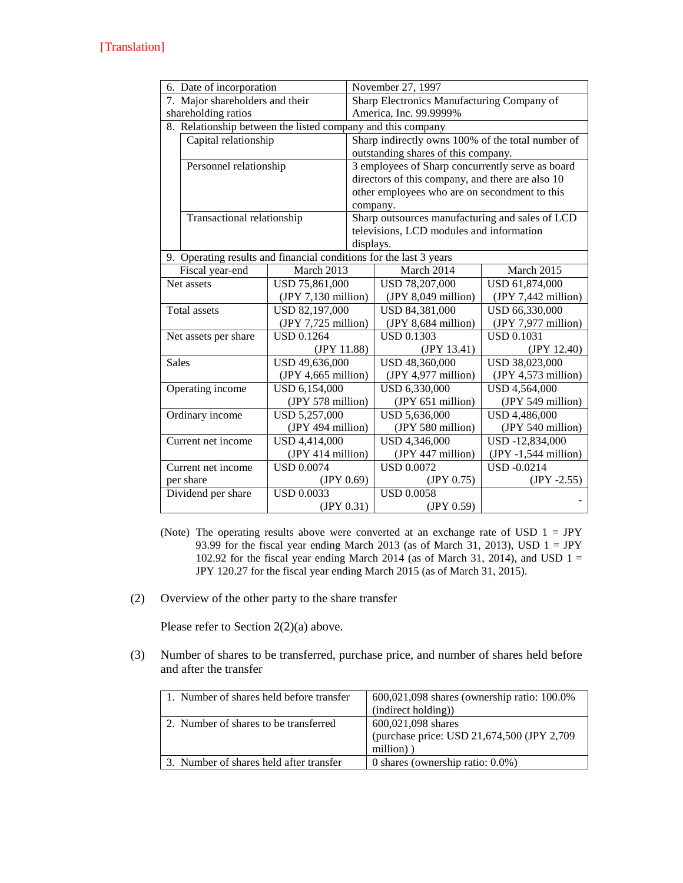| 6. Date of incorporation        |                                                                    | November 27, 1997                          |                   |                                                   |                     |  |
|---------------------------------|--------------------------------------------------------------------|--------------------------------------------|-------------------|---------------------------------------------------|---------------------|--|
| 7. Major shareholders and their |                                                                    | Sharp Electronics Manufacturing Company of |                   |                                                   |                     |  |
| shareholding ratios             |                                                                    | America, Inc. 99.9999%                     |                   |                                                   |                     |  |
|                                 | 8. Relationship between the listed company and this company        |                                            |                   |                                                   |                     |  |
|                                 | Capital relationship                                               |                                            |                   | Sharp indirectly owns 100% of the total number of |                     |  |
|                                 |                                                                    |                                            |                   | outstanding shares of this company.               |                     |  |
|                                 | Personnel relationship                                             |                                            |                   | 3 employees of Sharp concurrently serve as board  |                     |  |
|                                 |                                                                    |                                            |                   | directors of this company, and there are also 10  |                     |  |
|                                 |                                                                    |                                            |                   | other employees who are on secondment to this     |                     |  |
|                                 |                                                                    |                                            |                   | company.                                          |                     |  |
|                                 | Transactional relationship                                         |                                            |                   | Sharp outsources manufacturing and sales of LCD   |                     |  |
|                                 |                                                                    |                                            |                   | televisions, LCD modules and information          |                     |  |
|                                 |                                                                    |                                            | displays.         |                                                   |                     |  |
|                                 | 9. Operating results and financial conditions for the last 3 years |                                            |                   |                                                   |                     |  |
|                                 | Fiscal year-end                                                    | March 2013                                 |                   | March 2014                                        | March 2015          |  |
|                                 | Net assets                                                         | USD 75,861,000                             |                   | USD 78,207,000                                    | USD 61,874,000      |  |
|                                 |                                                                    | (JPY 7,130 million)                        |                   | $(JPY 8,049$ million)                             | (IPY 7,442 million) |  |
|                                 | USD 82,197,000<br><b>Total</b> assets                              |                                            |                   | USD 84,381,000                                    | USD 66,330,000      |  |
|                                 |                                                                    | $(JPY 7,725$ million)                      |                   | (JPY 8,684 million)                               | (JPY 7,977 million) |  |
|                                 | Net assets per share                                               | <b>USD 0.1264</b>                          |                   | <b>USD 0.1303</b>                                 | <b>USD 0.1031</b>   |  |
|                                 | (JPY 11.88)                                                        |                                            |                   | (JPY 13.41)                                       | (JPY 12.40)         |  |
| USD 49,636,000<br><b>Sales</b>  |                                                                    |                                            | USD 48,360,000    | USD 38,023,000                                    |                     |  |
|                                 |                                                                    | (JPY 4,665 million)                        |                   | (JPY 4,977 million)                               | (JPY 4,573 million) |  |
|                                 | Operating income                                                   | USD 6,154,000                              |                   | USD 6,330,000                                     | USD 4,564,000       |  |
| (JPY 578 million)               |                                                                    |                                            | (JPY 651 million) | (JPY 549 million)                                 |                     |  |
|                                 | Ordinary income                                                    | USD 5,257,000                              |                   | USD 5,636,000                                     | USD 4,486,000       |  |
|                                 |                                                                    | (JPY 494 million)                          |                   | (JPY 580 million)                                 | (JPY 540 million)   |  |
|                                 | Current net income                                                 | USD 4,414,000                              |                   | USD 4,346,000                                     | USD-12,834,000      |  |
| (JPY 414 million)               |                                                                    |                                            | (JPY 447 million) | (JPY -1,544 million)                              |                     |  |
|                                 | Current net income                                                 | <b>USD 0.0074</b>                          |                   | <b>USD 0.0072</b>                                 | <b>USD</b> -0.0214  |  |
|                                 | per share                                                          | (JPY 0.69)                                 |                   | (JPY 0.75)                                        | $(JPY -2.55)$       |  |
|                                 | Dividend per share                                                 | <b>USD 0.0033</b>                          |                   | <b>USD 0.0058</b>                                 |                     |  |
|                                 |                                                                    | (JPY 0.31)                                 |                   | (IPY 0.59)                                        |                     |  |

- (Note) The operating results above were converted at an exchange rate of USD  $1 = JPY$ 93.99 for the fiscal year ending March 2013 (as of March 31, 2013), USD  $1 = JPY$ 102.92 for the fiscal year ending March 2014 (as of March 31, 2014), and USD  $1 =$ JPY 120.27 for the fiscal year ending March 2015 (as of March 31, 2015).
- (2) Overview of the other party to the share transfer

Please refer to Section 2(2)(a) above.

(3) Number of shares to be transferred, purchase price, and number of shares held before and after the transfer

| 1. Number of shares held before transfer | $600,021,098$ shares (ownership ratio: 100.0%) |
|------------------------------------------|------------------------------------------------|
|                                          | (indirect holding))                            |
| 2. Number of shares to be transferred    | 600,021,098 shares                             |
|                                          | (purchase price: USD 21,674,500 (JPY 2,709)    |
|                                          | million))                                      |
| 3. Number of shares held after transfer  | 0 shares (ownership ratio: $0.0\%$ )           |